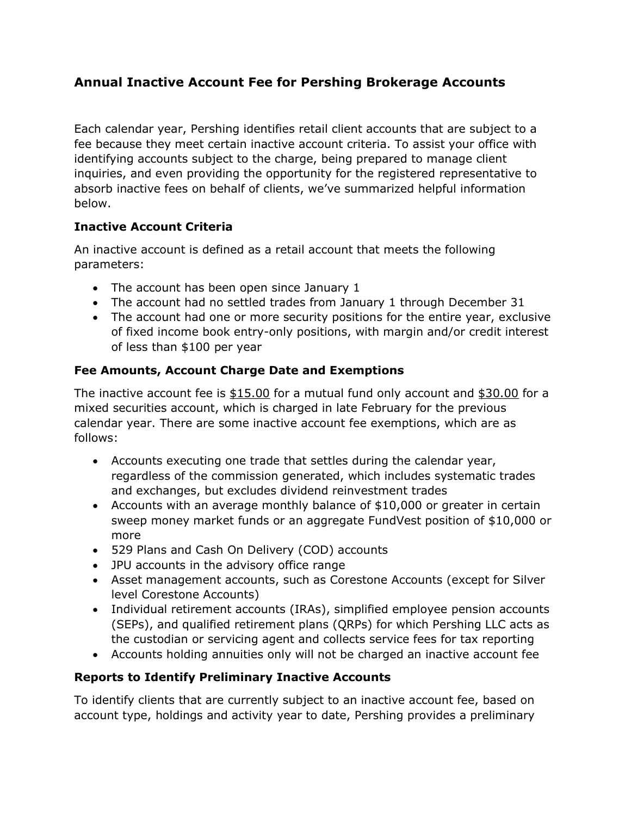# Annual Inactive Account Fee for Pershing Brokerage Accounts

Each calendar year, Pershing identifies retail client accounts that are subject to a fee because they meet certain inactive account criteria. To assist your office with identifying accounts subject to the charge, being prepared to manage client inquiries, and even providing the opportunity for the registered representative to absorb inactive fees on behalf of clients, we've summarized helpful information below.

### Inactive Account Criteria

An inactive account is defined as a retail account that meets the following parameters:

- The account has been open since January 1
- The account had no settled trades from January 1 through December 31
- The account had one or more security positions for the entire year, exclusive of fixed income book entry-only positions, with margin and/or credit interest of less than \$100 per year

### Fee Amounts, Account Charge Date and Exemptions

The inactive account fee is \$15.00 for a mutual fund only account and \$30.00 for a mixed securities account, which is charged in late February for the previous calendar year. There are some inactive account fee exemptions, which are as follows:

- Accounts executing one trade that settles during the calendar year, regardless of the commission generated, which includes systematic trades and exchanges, but excludes dividend reinvestment trades
- Accounts with an average monthly balance of \$10,000 or greater in certain sweep money market funds or an aggregate FundVest position of \$10,000 or more
- 529 Plans and Cash On Delivery (COD) accounts
- JPU accounts in the advisory office range
- Asset management accounts, such as Corestone Accounts (except for Silver level Corestone Accounts)
- Individual retirement accounts (IRAs), simplified employee pension accounts (SEPs), and qualified retirement plans (QRPs) for which Pershing LLC acts as the custodian or servicing agent and collects service fees for tax reporting
- Accounts holding annuities only will not be charged an inactive account fee

#### Reports to Identify Preliminary Inactive Accounts

To identify clients that are currently subject to an inactive account fee, based on account type, holdings and activity year to date, Pershing provides a preliminary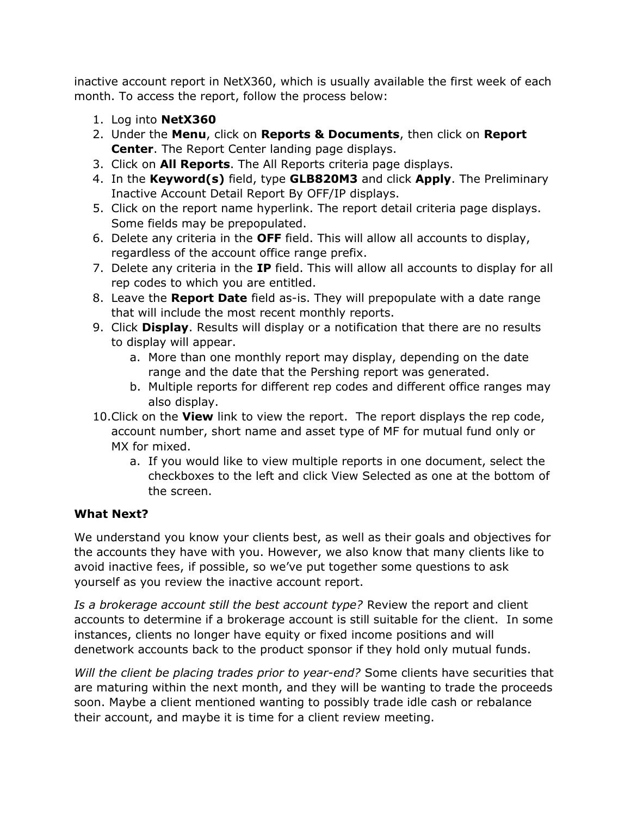inactive account report in NetX360, which is usually available the first week of each month. To access the report, follow the process below:

- 1. Log into NetX360
- 2. Under the Menu, click on Reports & Documents, then click on Report Center. The Report Center landing page displays.
- 3. Click on **All Reports**. The All Reports criteria page displays.
- 4. In the Keyword(s) field, type GLB820M3 and click Apply. The Preliminary Inactive Account Detail Report By OFF/IP displays.
- 5. Click on the report name hyperlink. The report detail criteria page displays. Some fields may be prepopulated.
- 6. Delete any criteria in the OFF field. This will allow all accounts to display, regardless of the account office range prefix.
- 7. Delete any criteria in the IP field. This will allow all accounts to display for all rep codes to which you are entitled.
- 8. Leave the **Report Date** field as-is. They will prepopulate with a date range that will include the most recent monthly reports.
- 9. Click Display. Results will display or a notification that there are no results to display will appear.
	- a. More than one monthly report may display, depending on the date range and the date that the Pershing report was generated.
	- b. Multiple reports for different rep codes and different office ranges may also display.
- 10. Click on the **View** link to view the report. The report displays the rep code, account number, short name and asset type of MF for mutual fund only or MX for mixed.
	- a. If you would like to view multiple reports in one document, select the checkboxes to the left and click View Selected as one at the bottom of the screen.

## What Next?

We understand you know your clients best, as well as their goals and objectives for the accounts they have with you. However, we also know that many clients like to avoid inactive fees, if possible, so we've put together some questions to ask yourself as you review the inactive account report.

Is a brokerage account still the best account type? Review the report and client accounts to determine if a brokerage account is still suitable for the client. In some instances, clients no longer have equity or fixed income positions and will denetwork accounts back to the product sponsor if they hold only mutual funds.

Will the client be placing trades prior to year-end? Some clients have securities that are maturing within the next month, and they will be wanting to trade the proceeds soon. Maybe a client mentioned wanting to possibly trade idle cash or rebalance their account, and maybe it is time for a client review meeting.